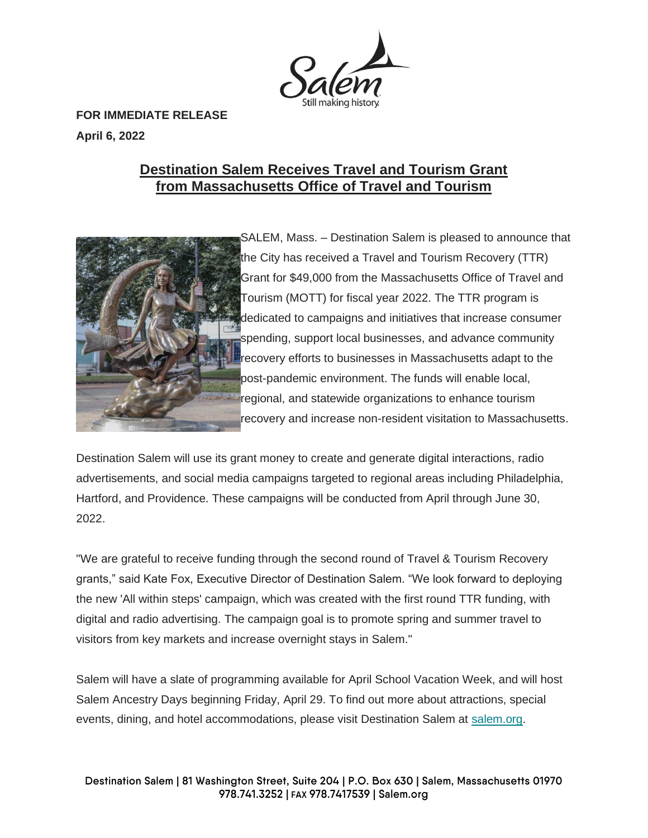

**FOR IMMEDIATE RELEASE April 6, 2022**

## **Destination Salem Receives Travel and Tourism Grant from Massachusetts Office of Travel and Tourism**



SALEM, Mass. – Destination Salem is pleased to announce that the City has received a Travel and Tourism Recovery (TTR) Grant for \$49,000 from the Massachusetts Office of Travel and Tourism (MOTT) for fiscal year 2022. The TTR program is dedicated to campaigns and initiatives that increase consumer spending, support local businesses, and advance community recovery efforts to businesses in Massachusetts adapt to the post-pandemic environment. The funds will enable local, regional, and statewide organizations to enhance tourism recovery and increase non-resident visitation to Massachusetts.

Destination Salem will use its grant money to create and generate digital interactions, radio advertisements, and social media campaigns targeted to regional areas including Philadelphia, Hartford, and Providence. These campaigns will be conducted from April through June 30, 2022.

"We are grateful to receive funding through the second round of Travel & Tourism Recovery grants," said Kate Fox, Executive Director of Destination Salem. "We look forward to deploying the new 'All within steps' campaign, which was created with the first round TTR funding, with digital and radio advertising. The campaign goal is to promote spring and summer travel to visitors from key markets and increase overnight stays in Salem."

Salem will have a slate of programming available for April School Vacation Week, and will host Salem Ancestry Days beginning Friday, April 29. To find out more about attractions, special events, dining, and hotel accommodations, please visit Destination Salem at [salem.org.](https://www.salem.org/)